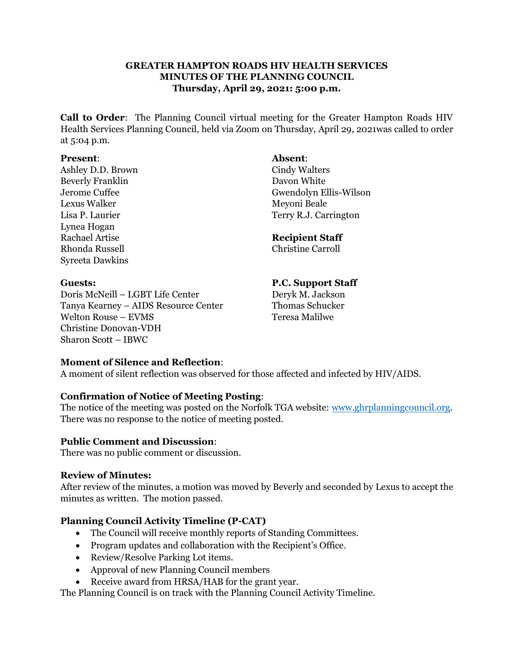# **GREATER HAMPTON ROADS HIV HEALTH SERVICES MINUTES OF THE PLANNING COUNCIL Thursday, April 29, 2021: 5:00 p.m.**

**Call to Order**: The Planning Council virtual meeting for the Greater Hampton Roads HIV Health Services Planning Council, held via Zoom on Thursday, April 29, 2021was called to order at 5:04 p.m.

#### **Present**: **Absent**:

Ashley D.D. Brown Cindy Walters Beverly Franklin Davon White Lexus Walker Meyoni Beale Lynea Hogan Rachael Artise **Recipient Staff** Rhonda Russell Christine Carroll Syreeta Dawkins

Jerome Cuffee Gwendolyn Ellis-Wilson Lisa P. Laurier Terry R.J. Carrington

Doris McNeill – LGBT Life Center Deryk M. Jackson Tanya Kearney – AIDS Resource Center Welton Rouse – EVMS Teresa Malilwe Christine Donovan-VDH Sharon Scott – IBWC

**Guests: P.C. Support Staff**

# **Moment of Silence and Reflection**:

A moment of silent reflection was observed for those affected and infected by HIV/AIDS.

# **Confirmation of Notice of Meeting Posting**:

The notice of the meeting was posted on the Norfolk TGA website: [www.ghrplanningcouncil.org.](http://www.ghrplanningcouncil.org/) There was no response to the notice of meeting posted.

# **Public Comment and Discussion**:

There was no public comment or discussion.

# **Review of Minutes:**

After review of the minutes, a motion was moved by Beverly and seconded by Lexus to accept the minutes as written. The motion passed.

# **Planning Council Activity Timeline (P-CAT)**

- The Council will receive monthly reports of Standing Committees.
- Program updates and collaboration with the Recipient's Office.
- Review/Resolve Parking Lot items.
- Approval of new Planning Council members
- Receive award from HRSA/HAB for the grant year.

The Planning Council is on track with the Planning Council Activity Timeline.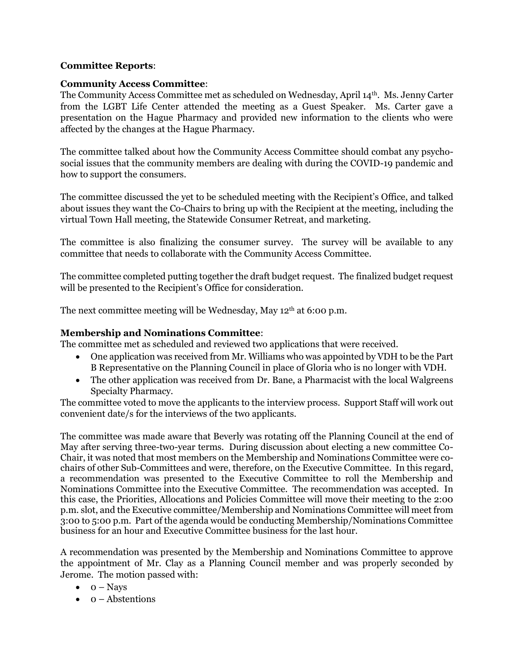#### **Committee Reports**:

#### **Community Access Committee**:

The Community Access Committee met as scheduled on Wednesday, April 14th. Ms. Jenny Carter from the LGBT Life Center attended the meeting as a Guest Speaker. Ms. Carter gave a presentation on the Hague Pharmacy and provided new information to the clients who were affected by the changes at the Hague Pharmacy.

The committee talked about how the Community Access Committee should combat any psychosocial issues that the community members are dealing with during the COVID-19 pandemic and how to support the consumers.

The committee discussed the yet to be scheduled meeting with the Recipient's Office, and talked about issues they want the Co-Chairs to bring up with the Recipient at the meeting, including the virtual Town Hall meeting, the Statewide Consumer Retreat, and marketing.

The committee is also finalizing the consumer survey. The survey will be available to any committee that needs to collaborate with the Community Access Committee.

The committee completed putting together the draft budget request. The finalized budget request will be presented to the Recipient's Office for consideration.

The next committee meeting will be Wednesday, May 12<sup>th</sup> at 6:00 p.m.

# **Membership and Nominations Committee**:

The committee met as scheduled and reviewed two applications that were received.

- One application was received from Mr. Williams who was appointed by VDH to be the Part B Representative on the Planning Council in place of Gloria who is no longer with VDH.
- The other application was received from Dr. Bane, a Pharmacist with the local Walgreens Specialty Pharmacy.

The committee voted to move the applicants to the interview process. Support Staff will work out convenient date/s for the interviews of the two applicants.

The committee was made aware that Beverly was rotating off the Planning Council at the end of May after serving three-two-year terms. During discussion about electing a new committee Co-Chair, it was noted that most members on the Membership and Nominations Committee were cochairs of other Sub-Committees and were, therefore, on the Executive Committee. In this regard, a recommendation was presented to the Executive Committee to roll the Membership and Nominations Committee into the Executive Committee. The recommendation was accepted. In this case, the Priorities, Allocations and Policies Committee will move their meeting to the 2:00 p.m. slot, and the Executive committee/Membership and Nominations Committee will meet from 3:00 to 5:00 p.m. Part of the agenda would be conducting Membership/Nominations Committee business for an hour and Executive Committee business for the last hour.

A recommendation was presented by the Membership and Nominations Committee to approve the appointment of Mr. Clay as a Planning Council member and was properly seconded by Jerome. The motion passed with:

- $\bullet$  0 Nays
- $\bullet$  0 Abstentions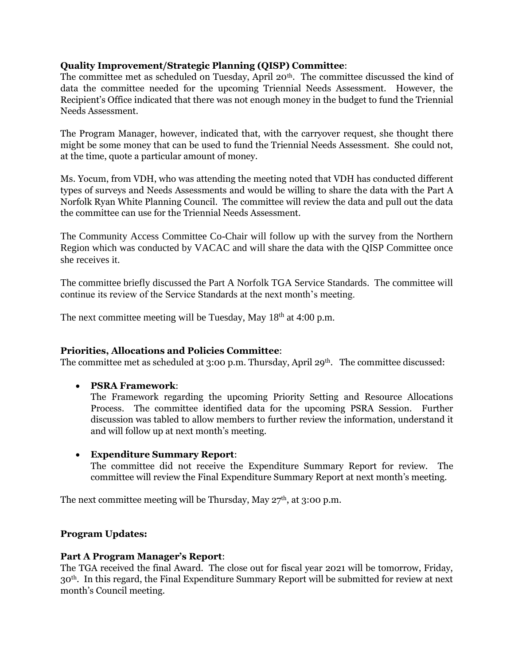# **Quality Improvement/Strategic Planning (QISP) Committee**:

The committee met as scheduled on Tuesday, April  $20<sup>th</sup>$ . The committee discussed the kind of data the committee needed for the upcoming Triennial Needs Assessment. However, the Recipient's Office indicated that there was not enough money in the budget to fund the Triennial Needs Assessment.

The Program Manager, however, indicated that, with the carryover request, she thought there might be some money that can be used to fund the Triennial Needs Assessment. She could not, at the time, quote a particular amount of money.

Ms. Yocum, from VDH, who was attending the meeting noted that VDH has conducted different types of surveys and Needs Assessments and would be willing to share the data with the Part A Norfolk Ryan White Planning Council. The committee will review the data and pull out the data the committee can use for the Triennial Needs Assessment.

The Community Access Committee Co-Chair will follow up with the survey from the Northern Region which was conducted by VACAC and will share the data with the QISP Committee once she receives it.

The committee briefly discussed the Part A Norfolk TGA Service Standards. The committee will continue its review of the Service Standards at the next month's meeting.

The next committee meeting will be Tuesday, May  $18<sup>th</sup>$  at 4:00 p.m.

# **Priorities, Allocations and Policies Committee**:

The committee met as scheduled at 3:00 p.m. Thursday, April 29<sup>th</sup>. The committee discussed:

• **PSRA Framework**:

The Framework regarding the upcoming Priority Setting and Resource Allocations Process. The committee identified data for the upcoming PSRA Session. Further discussion was tabled to allow members to further review the information, understand it and will follow up at next month's meeting.

#### • **Expenditure Summary Report**:

The committee did not receive the Expenditure Summary Report for review. The committee will review the Final Expenditure Summary Report at next month's meeting.

The next committee meeting will be Thursday, May  $27<sup>th</sup>$ , at  $3:00$  p.m.

# **Program Updates:**

#### **Part A Program Manager's Report**:

The TGA received the final Award. The close out for fiscal year 2021 will be tomorrow, Friday, 30th. In this regard, the Final Expenditure Summary Report will be submitted for review at next month's Council meeting.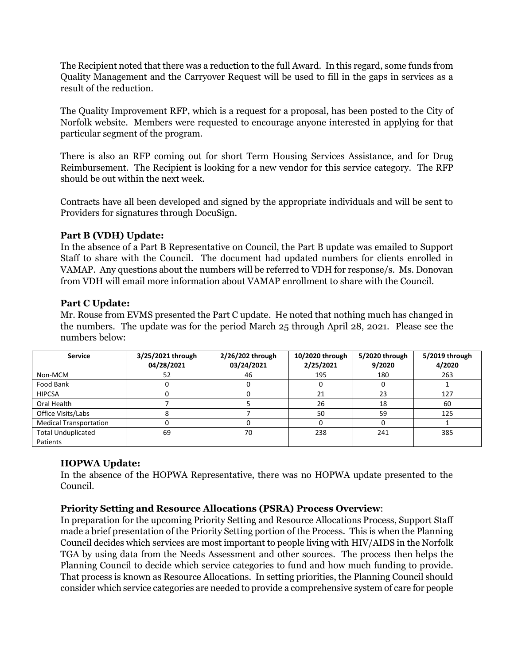The Recipient noted that there was a reduction to the full Award. In this regard, some funds from Quality Management and the Carryover Request will be used to fill in the gaps in services as a result of the reduction.

The Quality Improvement RFP, which is a request for a proposal, has been posted to the City of Norfolk website. Members were requested to encourage anyone interested in applying for that particular segment of the program.

There is also an RFP coming out for short Term Housing Services Assistance, and for Drug Reimbursement. The Recipient is looking for a new vendor for this service category. The RFP should be out within the next week.

Contracts have all been developed and signed by the appropriate individuals and will be sent to Providers for signatures through DocuSign.

# **Part B (VDH) Update:**

In the absence of a Part B Representative on Council, the Part B update was emailed to Support Staff to share with the Council. The document had updated numbers for clients enrolled in VAMAP. Any questions about the numbers will be referred to VDH for response/s. Ms. Donovan from VDH will email more information about VAMAP enrollment to share with the Council.

# **Part C Update:**

Mr. Rouse from EVMS presented the Part C update. He noted that nothing much has changed in the numbers. The update was for the period March 25 through April 28, 2021. Please see the numbers below:

| <b>Service</b>                | 3/25/2021 through | 2/26/202 through | 10/2020 through | 5/2020 through | 5/2019 through |
|-------------------------------|-------------------|------------------|-----------------|----------------|----------------|
|                               | 04/28/2021        | 03/24/2021       | 2/25/2021       | 9/2020         | 4/2020         |
| Non-MCM                       | 52                | 46               | 195             | 180            | 263            |
| Food Bank                     |                   |                  | υ               |                |                |
| <b>HIPCSA</b>                 |                   |                  | 21              | 23             | 127            |
| Oral Health                   |                   |                  | 26              | 18             | 60             |
| Office Visits/Labs            |                   |                  | 50              | 59             | 125            |
| <b>Medical Transportation</b> |                   |                  | O               |                |                |
| <b>Total Unduplicated</b>     | 69                | 70               | 238             | 241            | 385            |
| Patients                      |                   |                  |                 |                |                |

# **HOPWA Update:**

In the absence of the HOPWA Representative, there was no HOPWA update presented to the Council.

# **Priority Setting and Resource Allocations (PSRA) Process Overview**:

In preparation for the upcoming Priority Setting and Resource Allocations Process, Support Staff made a brief presentation of the Priority Setting portion of the Process. This is when the Planning Council decides which services are most important to people living with HIV/AIDS in the Norfolk TGA by using data from the Needs Assessment and other sources. The process then helps the Planning Council to decide which service categories to fund and how much funding to provide. That process is known as Resource Allocations. In setting priorities, the Planning Council should consider which service categories are needed to provide a comprehensive system of care for people